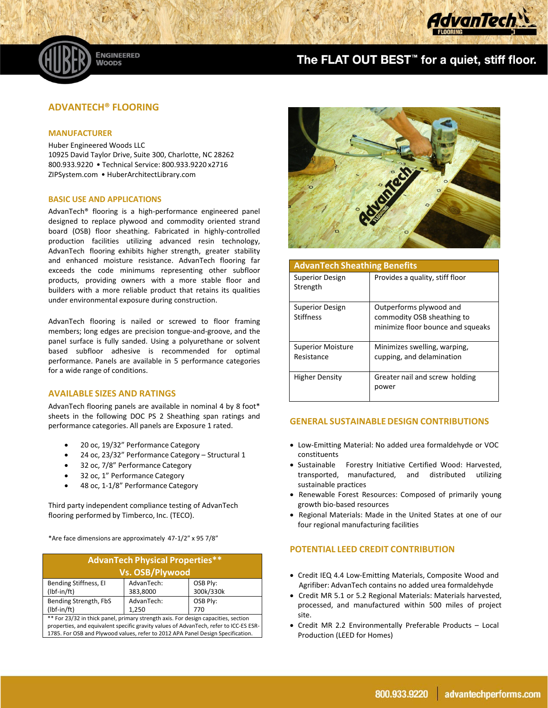

# The FLAT OUT BEST<sup>™</sup> for a quiet, stiff floor.

# **ADVANTECH® FLOORING**

**ENGINEERED** 

**WOODS** 

#### **MANUFACTURER**

Huber Engineered Woods LLC 10925 David Taylor Drive, Suite 300, Charlotte, NC 28262 800.933.9220 • Technical Service: 800.933.9220 x2716 ZIPSystem.com • HuberArchitectLibrary.com

#### **BASIC USE AND APPLICATIONS**

AdvanTech® flooring is a high‐performance engineered panel designed to replace plywood and commodity oriented strand board (OSB) floor sheathing. Fabricated in highly‐controlled production facilities utilizing advanced resin technology, AdvanTech flooring exhibits higher strength, greater stability and enhanced moisture resistance. AdvanTech flooring far exceeds the code minimums representing other subfloor products, providing owners with a more stable floor and builders with a more reliable product that retains its qualities under environmental exposure during construction.

AdvanTech flooring is nailed or screwed to floor framing members; long edges are precision tongue‐and‐groove, and the panel surface is fully sanded. Using a polyurethane or solvent based subfloor adhesive is recommended for optimal performance. Panels are available in 5 performance categories for a wide range of conditions.

#### **AVAILABLE SIZES AND RATINGS**

AdvanTech flooring panels are available in nominal 4 by 8 foot\* sheets in the following DOC PS 2 Sheathing span ratings and performance categories. All panels are Exposure 1 rated.

- 20 oc, 19/32" Performance Category
- 24 oc, 23/32" Performance Category Structural 1
- 32 oc, 7/8" Performance Category
- 32 oc, 1" Performance Category
- 48 oc, 1‐1/8" Performance Category

Third party independent compliance testing of AdvanTech flooring performed by Timberco, Inc. (TECO).

\*Are face dimensions are approximately 47‐1/2" x 95 7/8"

| <b>AdvanTech Physical Properties**</b>                                                                                                                                      |                        |                       |
|-----------------------------------------------------------------------------------------------------------------------------------------------------------------------------|------------------------|-----------------------|
| Vs. OSB/Plywood                                                                                                                                                             |                        |                       |
| Bending Stiffness, EI<br>$(lbf-in/ft)$                                                                                                                                      | AdvanTech:<br>383,8000 | OSB Ply:<br>300k/330k |
| Bending Strength, FbS                                                                                                                                                       | AdvanTech:             | OSB Ply:              |
| $(lbf-in/ft)$                                                                                                                                                               | 1.250                  | 770                   |
| ** For 23/32 in thick panel, primary strength axis. For design capacities, section<br>properties, and equivalent specific gravity values of AdvanTech, refer to ICC-ES ESR. |                        |                       |

properties, and equivalent specific gravity values of AdvanTech, refer to ICC‐ES ESR‐ 1785. For OSB and Plywood values, refer to 2012 APA Panel Design Specification.



| <b>AdvanTech Sheathing Benefits</b>        |                                                                                            |  |
|--------------------------------------------|--------------------------------------------------------------------------------------------|--|
| <b>Superior Design</b><br>Strength         | Provides a quality, stiff floor                                                            |  |
| <b>Superior Design</b><br><b>Stiffness</b> | Outperforms plywood and<br>commodity OSB sheathing to<br>minimize floor bounce and squeaks |  |
| <b>Superior Moisture</b><br>Resistance     | Minimizes swelling, warping,<br>cupping, and delamination                                  |  |
| <b>Higher Density</b>                      | Greater nail and screw holding<br>power                                                    |  |

# **GENERAL SUSTAINABLEDESIGN CONTRIBUTIONS**

- Low‐Emitting Material: No added urea formaldehyde or VOC constituents
- Sustainable Forestry Initiative Certified Wood: Harvested, transported, manufactured, and distributed utilizing sustainable practices
- Renewable Forest Resources: Composed of primarily young growth bio‐based resources
- Regional Materials: Made in the United States at one of our four regional manufacturing facilities

#### **POTENTIAL LEED CREDIT CONTRIBUTION**

- Credit IEQ 4.4 Low‐Emitting Materials, Composite Wood and Agrifiber: AdvanTech contains no added urea formaldehyde
- Credit MR 5.1 or 5.2 Regional Materials: Materials harvested, processed, and manufactured within 500 miles of project site.
- Credit MR 2.2 Environmentally Preferable Products Local Production (LEED for Homes)